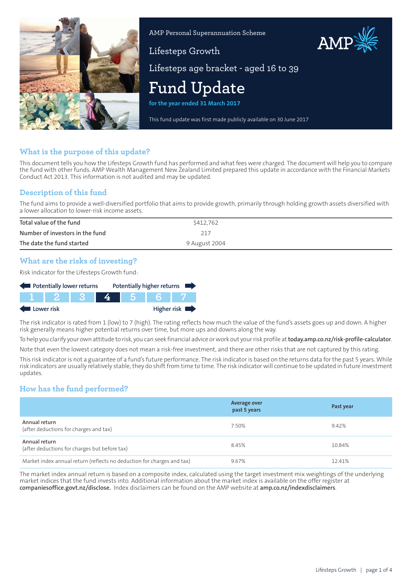

AMP Personal Superannuation Scheme

# Lifesteps Growth



Lifesteps age bracket - aged 16 to 39

# **Fund Update**

**for the year ended 31 March 2017**

This fund update was first made publicly available on 30 June 2017

# **What is the purpose of this update?**

This document tells you how the Lifesteps Growth fund has performed and what fees were charged. The document will help you to compare the fund with other funds. AMP Wealth Management New Zealand Limited prepared this update in accordance with the Financial Markets Conduct Act 2013. This information is not audited and may be updated.

# **Description of this fund**

The fund aims to provide a well-diversified portfolio that aims to provide growth, primarily through holding growth assets diversified with a lower allocation to lower-risk income assets.

| Total value of the fund         | \$412,762     |
|---------------------------------|---------------|
| Number of investors in the fund | 217           |
| The date the fund started       | 9 August 2004 |

# **What are the risks of investing?**

Risk indicator for the Lifesteps Growth fund:

| Potentially lower returns                |  |                       |  |  |     | Potentially higher returns |
|------------------------------------------|--|-----------------------|--|--|-----|----------------------------|
|                                          |  | 1   1   2   1   3   1 |  |  | 567 |                            |
| Higher risk $\blacksquare$<br>Lower risk |  |                       |  |  |     |                            |

The risk indicator is rated from 1 (low) to 7 (high). The rating reflects how much the value of the fund's assets goes up and down. A higher risk generally means higher potential returns over time, but more ups and downs along the way.

To help you clarify your own attitude to risk, you can seek financial advice orwork out yourrisk profile at**[today.amp.co.nz/risk-profile-calculator](http://today.amp.co.nz/risk-profile-calculator)**. Note that even the lowest category does not mean a risk-free investment, and there are other risks that are not captured by this rating.

This risk indicator is not a guarantee of a fund's future performance. The risk indicator is based on the returns data for the past 5 years. While risk indicators are usually relatively stable, they do shift from time to time. The risk indicator will continue to be updated in future investment updates.

# **How has the fund performed?**

|                                                                        | Average over<br>past 5 years | Past year |
|------------------------------------------------------------------------|------------------------------|-----------|
| Annual return<br>(after deductions for charges and tax)                | 7.50%                        | 9.42%     |
| Annual return<br>(after deductions for charges but before tax)         | 8.45%                        | 10.84%    |
| Market index annual return (reflects no deduction for charges and tax) | 9.67%                        | 12.41%    |

The market index annual return is based on a composite index, calculated using the target investment mix weightings of the underlying market indices that the fund invests into. Additional information about the market index is available on the offer register at **[companiesoffice.govt.nz/disclose](http://companiesoffice.govt.nz/disclose).** Index disclaimers can be found on the AMP website at **[amp.co.nz/indexdisclaimers](http://amp.co.nz/indexdisclaimers)**.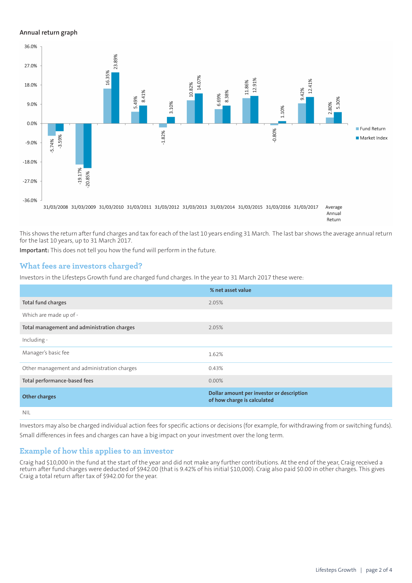#### **Annual return graph**



This shows the return after fund charges and tax for each of the last 10 years ending 31 March. The last bar shows the average annual return for the last 10 years, up to 31 March 2017.

**Important:** This does not tell you how the fund will perform in the future.

#### **What fees are investors charged?**

Investors in the Lifesteps Growth fund are charged fund charges. In the year to 31 March 2017 these were:

|                                             | % net asset value                                                        |
|---------------------------------------------|--------------------------------------------------------------------------|
| <b>Total fund charges</b>                   | 2.05%                                                                    |
| Which are made up of -                      |                                                                          |
| Total management and administration charges | 2.05%                                                                    |
| Including -                                 |                                                                          |
| Manager's basic fee                         | 1.62%                                                                    |
| Other management and administration charges | 0.43%                                                                    |
| Total performance-based fees                | $0.00\%$                                                                 |
| <b>Other charges</b>                        | Dollar amount per investor or description<br>of how charge is calculated |
| <b>NIL</b>                                  |                                                                          |

Investors may also be charged individual action fees for specific actions or decisions (for example, for withdrawing from or switching funds). Small differences in fees and charges can have a big impact on your investment over the long term.

## **Example of how this applies to an investor**

Craig had \$10,000 in the fund at the start of the year and did not make any further contributions. At the end of the year, Craig received a return after fund charges were deducted of \$942.00 (that is 9.42% of his initial \$10,000). Craig also paid \$0.00 in other charges. This gives Craig a total return after tax of \$942.00 for the year.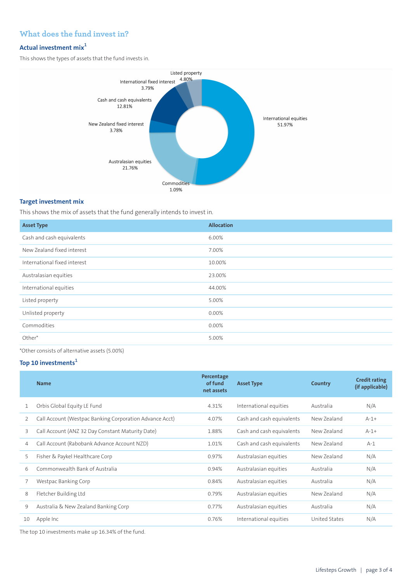# **What does the fund invest in?**

#### **Actual investment mix<sup>1</sup>**

This shows the types of assets that the fund invests in.



## **Target investment mix**

This shows the mix of assets that the fund generally intends to invest in.

| <b>Asset Type</b>            | <b>Allocation</b> |
|------------------------------|-------------------|
| Cash and cash equivalents    | 6.00%             |
| New Zealand fixed interest   | 7.00%             |
| International fixed interest | 10.00%            |
| Australasian equities        | 23.00%            |
| International equities       | 44.00%            |
| Listed property              | 5.00%             |
| Unlisted property            | $0.00\%$          |
| Commodities                  | 0.00%             |
| Other*                       | 5.00%             |
|                              |                   |

\*Other consists of alternative assets (5.00%)

# **Top 10 investments<sup>1</sup>**

|    | <b>Name</b>                                             | Percentage<br>of fund<br>net assets | <b>Asset Type</b>         | Country       | <b>Credit rating</b><br>(if applicable) |
|----|---------------------------------------------------------|-------------------------------------|---------------------------|---------------|-----------------------------------------|
|    | Orbis Global Equity LE Fund                             | 4.31%                               | International equities    | Australia     | N/A                                     |
| 2  | Call Account (Westpac Banking Corporation Advance Acct) | 4.07%                               | Cash and cash equivalents | New Zealand   | $A-1+$                                  |
| 3  | Call Account (ANZ 32 Day Constant Maturity Date)        | 1.88%                               | Cash and cash equivalents | New Zealand   | $A - 1 +$                               |
| 4  | Call Account (Rabobank Advance Account NZD)             | 1.01%                               | Cash and cash equivalents | New Zealand   | $A-1$                                   |
| 5  | Fisher & Paykel Healthcare Corp                         | 0.97%                               | Australasian equities     | New Zealand   | N/A                                     |
| 6  | Commonwealth Bank of Australia                          | 0.94%                               | Australasian equities     | Australia     | N/A                                     |
|    | Westpac Banking Corp                                    | 0.84%                               | Australasian equities     | Australia     | N/A                                     |
| 8  | Fletcher Building Ltd                                   | 0.79%                               | Australasian equities     | New Zealand   | N/A                                     |
| 9  | Australia & New Zealand Banking Corp                    | 0.77%                               | Australasian equities     | Australia     | N/A                                     |
| 10 | Apple Inc                                               | 0.76%                               | International equities    | United States | N/A                                     |
|    |                                                         |                                     |                           |               |                                         |

The top 10 investments make up 16.34% of the fund.